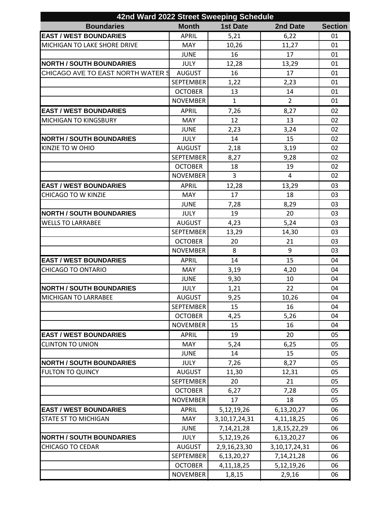| 42nd Ward 2022 Street Sweeping Schedule |                  |                   |                   |                |  |  |  |
|-----------------------------------------|------------------|-------------------|-------------------|----------------|--|--|--|
| <b>Boundaries</b>                       | <b>Month</b>     | <b>1st Date</b>   | 2nd Date          | <b>Section</b> |  |  |  |
| <b>EAST / WEST BOUNDARIES</b>           | <b>APRIL</b>     | 5,21              | 6,22              | 01             |  |  |  |
| MICHIGAN TO LAKE SHORE DRIVE            | <b>MAY</b>       | 10,26             | 11,27             | 01             |  |  |  |
|                                         | <b>JUNE</b>      | 16                | 17                | 01             |  |  |  |
| <b>NORTH / SOUTH BOUNDARIES</b>         | <b>JULY</b>      | 12,28             | 13,29             | 01             |  |  |  |
| CHICAGO AVE TO EAST NORTH WATER 9       | <b>AUGUST</b>    | 16                | 17                | 01             |  |  |  |
|                                         | <b>SEPTEMBER</b> | 1,22              | 2,23              | 01             |  |  |  |
|                                         | <b>OCTOBER</b>   | 13                | 14                | 01             |  |  |  |
|                                         | <b>NOVEMBER</b>  | $\mathbf{1}$      | $\overline{2}$    | 01             |  |  |  |
| <b>EAST / WEST BOUNDARIES</b>           | <b>APRIL</b>     | 7,26              | 8,27              | 02             |  |  |  |
| <b>MICHIGAN TO KINGSBURY</b>            | <b>MAY</b>       | 12                | 13                | 02             |  |  |  |
|                                         | <b>JUNE</b>      | 2,23              | 3,24              | 02             |  |  |  |
| <b>NORTH / SOUTH BOUNDARIES</b>         | <b>JULY</b>      | 14                | 15                | 02             |  |  |  |
| KINZIE TO W OHIO                        | <b>AUGUST</b>    | 2,18              | 3,19              | 02             |  |  |  |
|                                         | <b>SEPTEMBER</b> | 8,27              | 9,28              | 02             |  |  |  |
|                                         | <b>OCTOBER</b>   | 18                | 19                | 02             |  |  |  |
|                                         | <b>NOVEMBER</b>  | $\overline{3}$    | 4                 | 02             |  |  |  |
| <b>EAST / WEST BOUNDARIES</b>           | <b>APRIL</b>     | 12,28             | 13,29             | 03             |  |  |  |
| <b>CHICAGO TO W KINZIE</b>              | <b>MAY</b>       | 17                | 18                | 03             |  |  |  |
|                                         | <b>JUNE</b>      | 7,28              | 8,29              | 03             |  |  |  |
| <b>NORTH / SOUTH BOUNDARIES</b>         | <b>JULY</b>      | 19                | 20                | 03             |  |  |  |
| <b>WELLS TO LARRABEE</b>                | <b>AUGUST</b>    | 4,23              | 5,24              | 03             |  |  |  |
|                                         | <b>SEPTEMBER</b> | 13,29             | 14,30             | 03             |  |  |  |
|                                         | <b>OCTOBER</b>   | 20                | 21                | 03             |  |  |  |
|                                         | <b>NOVEMBER</b>  | 8                 | 9                 | 03             |  |  |  |
| <b>EAST / WEST BOUNDARIES</b>           | <b>APRIL</b>     | 14                | 15                | 04             |  |  |  |
| <b>CHICAGO TO ONTARIO</b>               | <b>MAY</b>       | 3,19              | 4,20              | 04             |  |  |  |
|                                         | <b>JUNE</b>      | 9,30              | 10                | 04             |  |  |  |
| <b>NORTH / SOUTH BOUNDARIES</b>         | <b>JULY</b>      | 1,21              | 22                | 04             |  |  |  |
| <b>MICHIGAN TO LARRABEE</b>             | <b>AUGUST</b>    | 9,25              | 10,26             | 04             |  |  |  |
|                                         | <b>SEPTEMBER</b> | 15                | 16                | 04             |  |  |  |
|                                         | <b>OCTOBER</b>   | 4,25              | 5,26              | 04             |  |  |  |
|                                         | <b>NOVEMBER</b>  | 15                | 16                | 04             |  |  |  |
| <b>EAST / WEST BOUNDARIES</b>           | <b>APRIL</b>     | 19                | 20                | 05             |  |  |  |
| <b>CLINTON TO UNION</b>                 | <b>MAY</b>       | 5,24              | 6,25              | 05             |  |  |  |
|                                         | <b>JUNE</b>      | 14                | 15                | 05             |  |  |  |
| <b>NORTH / SOUTH BOUNDARIES</b>         | <b>JULY</b>      | 7,26              | 8,27              | 05             |  |  |  |
| <b>FULTON TO QUINCY</b>                 | <b>AUGUST</b>    | 11,30             | 12,31             | 05             |  |  |  |
|                                         | <b>SEPTEMBER</b> | 20                | 21                | 05             |  |  |  |
|                                         | <b>OCTOBER</b>   | 6,27              | 7,28              | 05             |  |  |  |
|                                         | <b>NOVEMBER</b>  | 17                | 18                | 05             |  |  |  |
| <b>EAST / WEST BOUNDARIES</b>           | <b>APRIL</b>     | 5,12,19,26        | 6,13,20,27        | 06             |  |  |  |
| <b>STATE ST TO MICHIGAN</b>             | MAY              | 3, 10, 17, 24, 31 | 4, 11, 18, 25     | 06             |  |  |  |
|                                         | <b>JUNE</b>      | 7, 14, 21, 28     | 1,8,15,22,29      | 06             |  |  |  |
| <b>NORTH / SOUTH BOUNDARIES</b>         | <b>JULY</b>      | 5,12,19,26        | 6,13,20,27        | 06             |  |  |  |
| <b>CHICAGO TO CEDAR</b>                 | <b>AUGUST</b>    | 2,9,16,23,30      | 3, 10, 17, 24, 31 | 06             |  |  |  |
|                                         | <b>SEPTEMBER</b> | 6,13,20,27        | 7, 14, 21, 28     | 06             |  |  |  |
|                                         | <b>OCTOBER</b>   | 4, 11, 18, 25     | 5,12,19,26        | 06             |  |  |  |
|                                         | <b>NOVEMBER</b>  | 1,8,15            | 2,9,16            | 06             |  |  |  |
|                                         |                  |                   |                   |                |  |  |  |